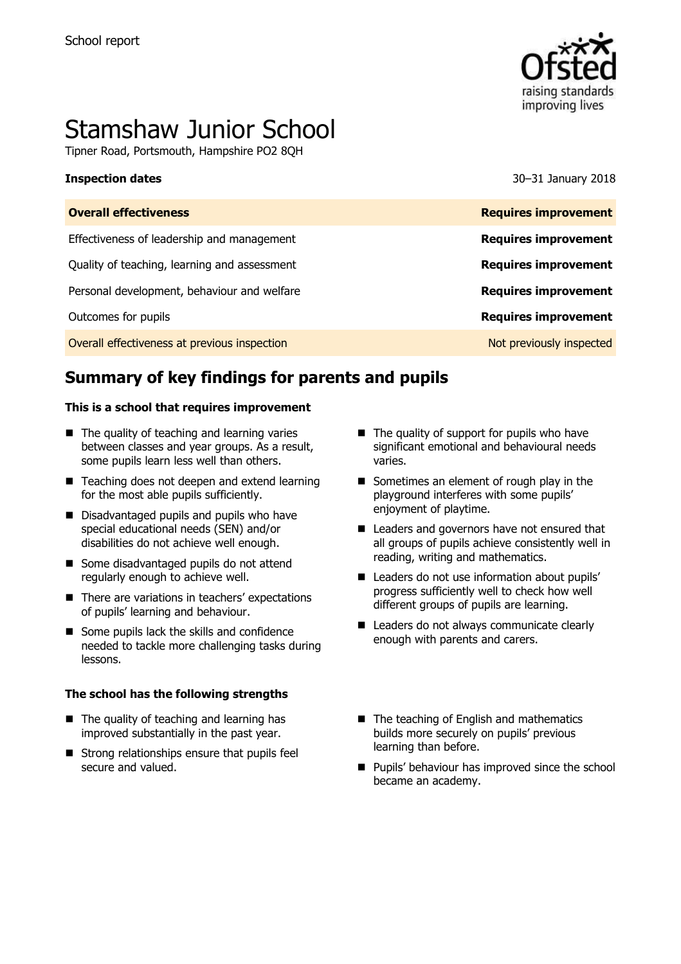

# Stamshaw Junior School

Tipner Road, Portsmouth, Hampshire PO2 8QH

**Inspection dates** 30–31 January 2018

| <b>Overall effectiveness</b>                 | <b>Requires improvement</b> |
|----------------------------------------------|-----------------------------|
| Effectiveness of leadership and management   | <b>Requires improvement</b> |
| Quality of teaching, learning and assessment | <b>Requires improvement</b> |
| Personal development, behaviour and welfare  | <b>Requires improvement</b> |
| Outcomes for pupils                          | <b>Requires improvement</b> |
| Overall effectiveness at previous inspection | Not previously inspected    |
|                                              |                             |

# **Summary of key findings for parents and pupils**

#### **This is a school that requires improvement**

- $\blacksquare$  The quality of teaching and learning varies between classes and year groups. As a result, some pupils learn less well than others.
- Teaching does not deepen and extend learning for the most able pupils sufficiently.
- Disadvantaged pupils and pupils who have special educational needs (SEN) and/or disabilities do not achieve well enough.
- Some disadvantaged pupils do not attend regularly enough to achieve well.
- There are variations in teachers' expectations of pupils' learning and behaviour.
- Some pupils lack the skills and confidence needed to tackle more challenging tasks during lessons.

#### **The school has the following strengths**

- $\blacksquare$  The quality of teaching and learning has improved substantially in the past year.
- $\blacksquare$  Strong relationships ensure that pupils feel secure and valued.
- $\blacksquare$  The quality of support for pupils who have significant emotional and behavioural needs varies.
- Sometimes an element of rough play in the playground interferes with some pupils' enjoyment of playtime.
- Leaders and governors have not ensured that all groups of pupils achieve consistently well in reading, writing and mathematics.
- Leaders do not use information about pupils' progress sufficiently well to check how well different groups of pupils are learning.
- Leaders do not always communicate clearly enough with parents and carers.
- The teaching of English and mathematics builds more securely on pupils' previous learning than before.
- **Pupils' behaviour has improved since the school** became an academy.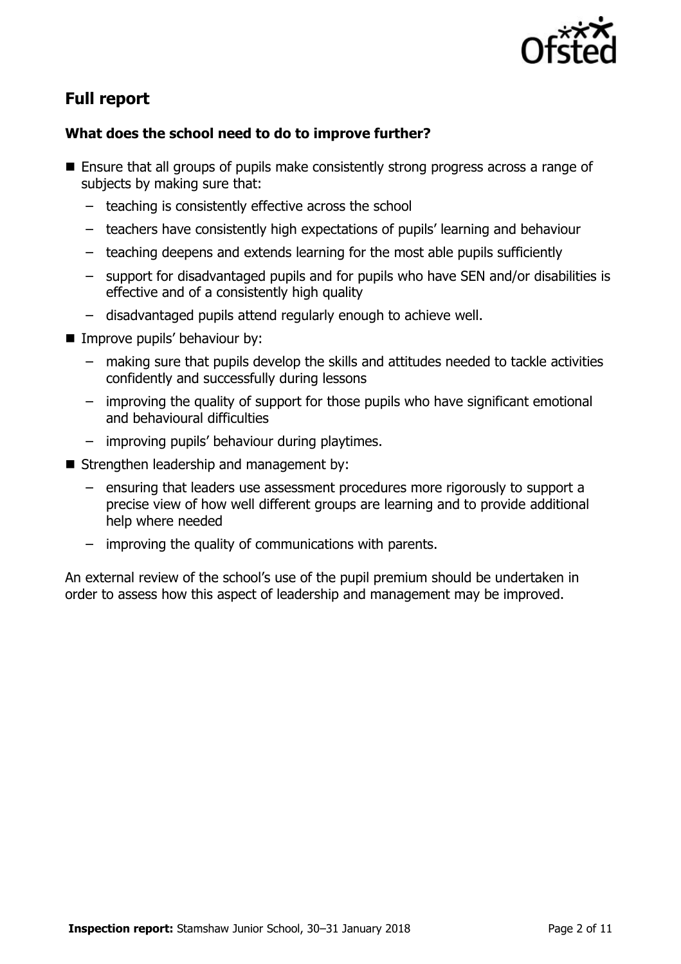

# **Full report**

### **What does the school need to do to improve further?**

- Ensure that all groups of pupils make consistently strong progress across a range of subjects by making sure that:
	- teaching is consistently effective across the school
	- teachers have consistently high expectations of pupils' learning and behaviour
	- teaching deepens and extends learning for the most able pupils sufficiently
	- support for disadvantaged pupils and for pupils who have SEN and/or disabilities is effective and of a consistently high quality
	- disadvantaged pupils attend regularly enough to achieve well.
- **Improve pupils' behaviour by:** 
	- making sure that pupils develop the skills and attitudes needed to tackle activities confidently and successfully during lessons
	- improving the quality of support for those pupils who have significant emotional and behavioural difficulties
	- improving pupils' behaviour during playtimes.
- Strengthen leadership and management by:
	- ensuring that leaders use assessment procedures more rigorously to support a precise view of how well different groups are learning and to provide additional help where needed
	- improving the quality of communications with parents.

An external review of the school's use of the pupil premium should be undertaken in order to assess how this aspect of leadership and management may be improved.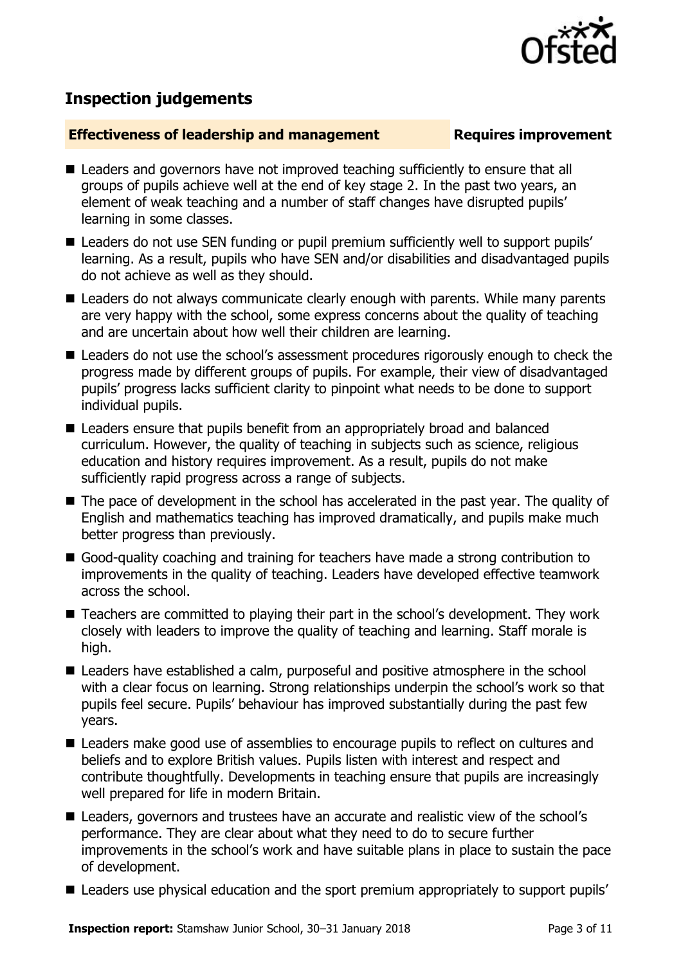

# **Inspection judgements**

#### **Effectiveness of leadership and management Requires improvement**

- Leaders and governors have not improved teaching sufficiently to ensure that all groups of pupils achieve well at the end of key stage 2. In the past two years, an element of weak teaching and a number of staff changes have disrupted pupils' learning in some classes.
- Leaders do not use SEN funding or pupil premium sufficiently well to support pupils' learning. As a result, pupils who have SEN and/or disabilities and disadvantaged pupils do not achieve as well as they should.
- Leaders do not always communicate clearly enough with parents. While many parents are very happy with the school, some express concerns about the quality of teaching and are uncertain about how well their children are learning.
- Leaders do not use the school's assessment procedures rigorously enough to check the progress made by different groups of pupils. For example, their view of disadvantaged pupils' progress lacks sufficient clarity to pinpoint what needs to be done to support individual pupils.
- Leaders ensure that pupils benefit from an appropriately broad and balanced curriculum. However, the quality of teaching in subjects such as science, religious education and history requires improvement. As a result, pupils do not make sufficiently rapid progress across a range of subjects.
- The pace of development in the school has accelerated in the past year. The quality of English and mathematics teaching has improved dramatically, and pupils make much better progress than previously.
- Good-quality coaching and training for teachers have made a strong contribution to improvements in the quality of teaching. Leaders have developed effective teamwork across the school.
- Teachers are committed to playing their part in the school's development. They work closely with leaders to improve the quality of teaching and learning. Staff morale is high.
- Leaders have established a calm, purposeful and positive atmosphere in the school with a clear focus on learning. Strong relationships underpin the school's work so that pupils feel secure. Pupils' behaviour has improved substantially during the past few years.
- Leaders make good use of assemblies to encourage pupils to reflect on cultures and beliefs and to explore British values. Pupils listen with interest and respect and contribute thoughtfully. Developments in teaching ensure that pupils are increasingly well prepared for life in modern Britain.
- Leaders, governors and trustees have an accurate and realistic view of the school's performance. They are clear about what they need to do to secure further improvements in the school's work and have suitable plans in place to sustain the pace of development.
- Leaders use physical education and the sport premium appropriately to support pupils'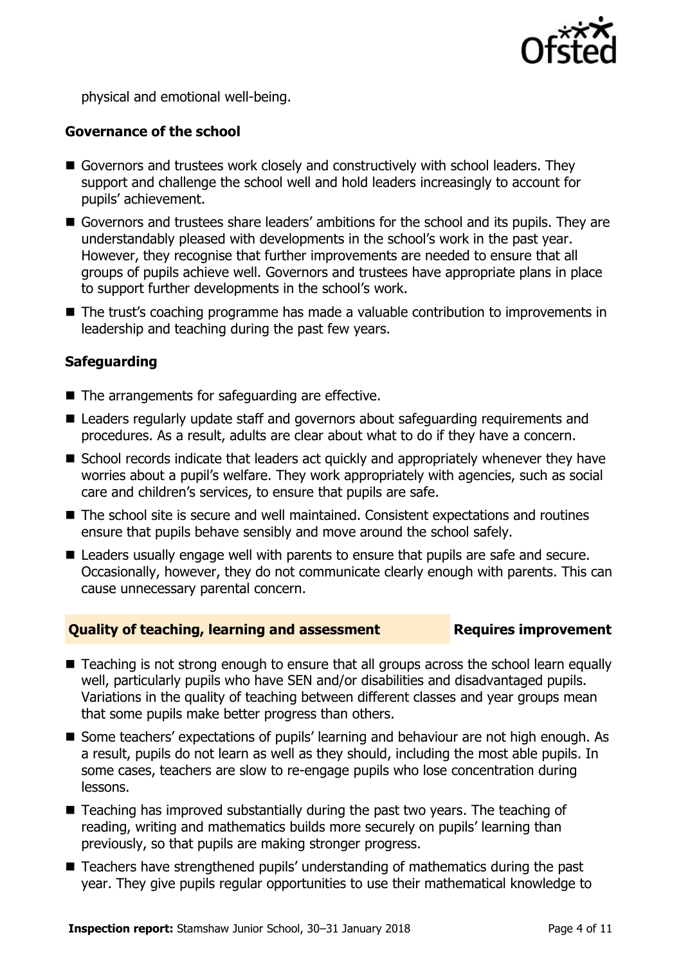

physical and emotional well-being.

### **Governance of the school**

- Governors and trustees work closely and constructively with school leaders. They support and challenge the school well and hold leaders increasingly to account for pupils' achievement.
- Governors and trustees share leaders' ambitions for the school and its pupils. They are understandably pleased with developments in the school's work in the past year. However, they recognise that further improvements are needed to ensure that all groups of pupils achieve well. Governors and trustees have appropriate plans in place to support further developments in the school's work.
- The trust's coaching programme has made a valuable contribution to improvements in leadership and teaching during the past few years.

### **Safeguarding**

- $\blacksquare$  The arrangements for safeguarding are effective.
- Leaders regularly update staff and governors about safeguarding reguirements and procedures. As a result, adults are clear about what to do if they have a concern.
- School records indicate that leaders act quickly and appropriately whenever they have worries about a pupil's welfare. They work appropriately with agencies, such as social care and children's services, to ensure that pupils are safe.
- The school site is secure and well maintained. Consistent expectations and routines ensure that pupils behave sensibly and move around the school safely.
- Leaders usually engage well with parents to ensure that pupils are safe and secure. Occasionally, however, they do not communicate clearly enough with parents. This can cause unnecessary parental concern.

#### **Quality of teaching, learning and assessment Fig. 2.1 Requires improvement**

- Teaching is not strong enough to ensure that all groups across the school learn equally well, particularly pupils who have SEN and/or disabilities and disadvantaged pupils. Variations in the quality of teaching between different classes and year groups mean that some pupils make better progress than others.
- Some teachers' expectations of pupils' learning and behaviour are not high enough. As a result, pupils do not learn as well as they should, including the most able pupils. In some cases, teachers are slow to re-engage pupils who lose concentration during lessons.
- Teaching has improved substantially during the past two years. The teaching of reading, writing and mathematics builds more securely on pupils' learning than previously, so that pupils are making stronger progress.
- Teachers have strengthened pupils' understanding of mathematics during the past year. They give pupils regular opportunities to use their mathematical knowledge to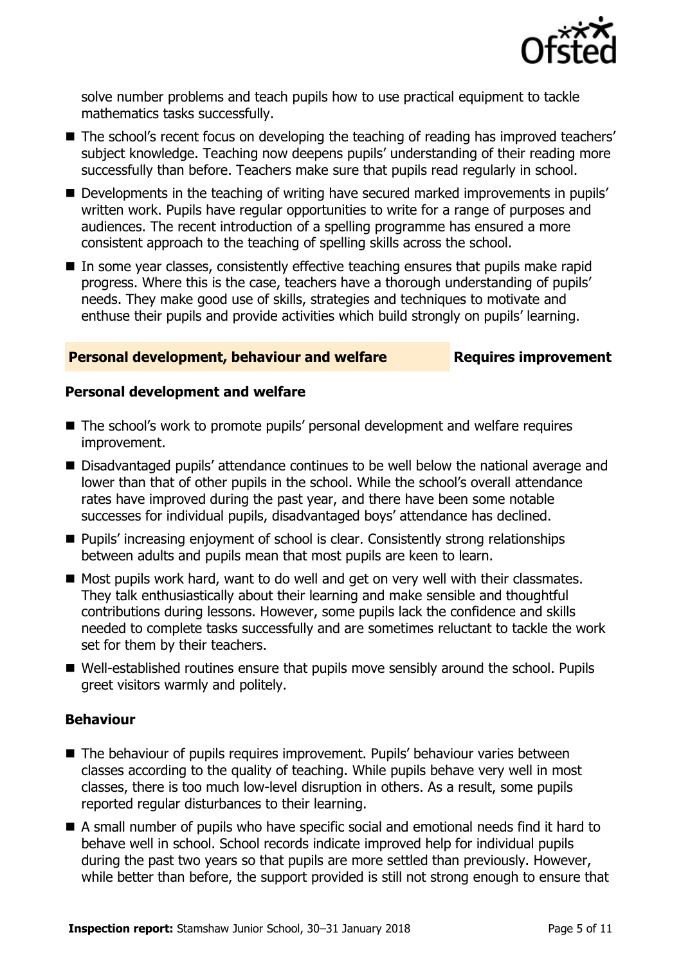

solve number problems and teach pupils how to use practical equipment to tackle mathematics tasks successfully.

- The school's recent focus on developing the teaching of reading has improved teachers' subject knowledge. Teaching now deepens pupils' understanding of their reading more successfully than before. Teachers make sure that pupils read regularly in school.
- Developments in the teaching of writing have secured marked improvements in pupils' written work. Pupils have regular opportunities to write for a range of purposes and audiences. The recent introduction of a spelling programme has ensured a more consistent approach to the teaching of spelling skills across the school.
- In some year classes, consistently effective teaching ensures that pupils make rapid progress. Where this is the case, teachers have a thorough understanding of pupils' needs. They make good use of skills, strategies and techniques to motivate and enthuse their pupils and provide activities which build strongly on pupils' learning.

#### **Personal development, behaviour and welfare Fig. 2.1 Requires improvement**

#### **Personal development and welfare**

- The school's work to promote pupils' personal development and welfare requires improvement.
- Disadvantaged pupils' attendance continues to be well below the national average and lower than that of other pupils in the school. While the school's overall attendance rates have improved during the past year, and there have been some notable successes for individual pupils, disadvantaged boys' attendance has declined.
- **Pupils' increasing enjoyment of school is clear. Consistently strong relationships** between adults and pupils mean that most pupils are keen to learn.
- Most pupils work hard, want to do well and get on very well with their classmates. They talk enthusiastically about their learning and make sensible and thoughtful contributions during lessons. However, some pupils lack the confidence and skills needed to complete tasks successfully and are sometimes reluctant to tackle the work set for them by their teachers.
- Well-established routines ensure that pupils move sensibly around the school. Pupils greet visitors warmly and politely.

#### **Behaviour**

- The behaviour of pupils requires improvement. Pupils' behaviour varies between classes according to the quality of teaching. While pupils behave very well in most classes, there is too much low-level disruption in others. As a result, some pupils reported regular disturbances to their learning.
- A small number of pupils who have specific social and emotional needs find it hard to behave well in school. School records indicate improved help for individual pupils during the past two years so that pupils are more settled than previously. However, while better than before, the support provided is still not strong enough to ensure that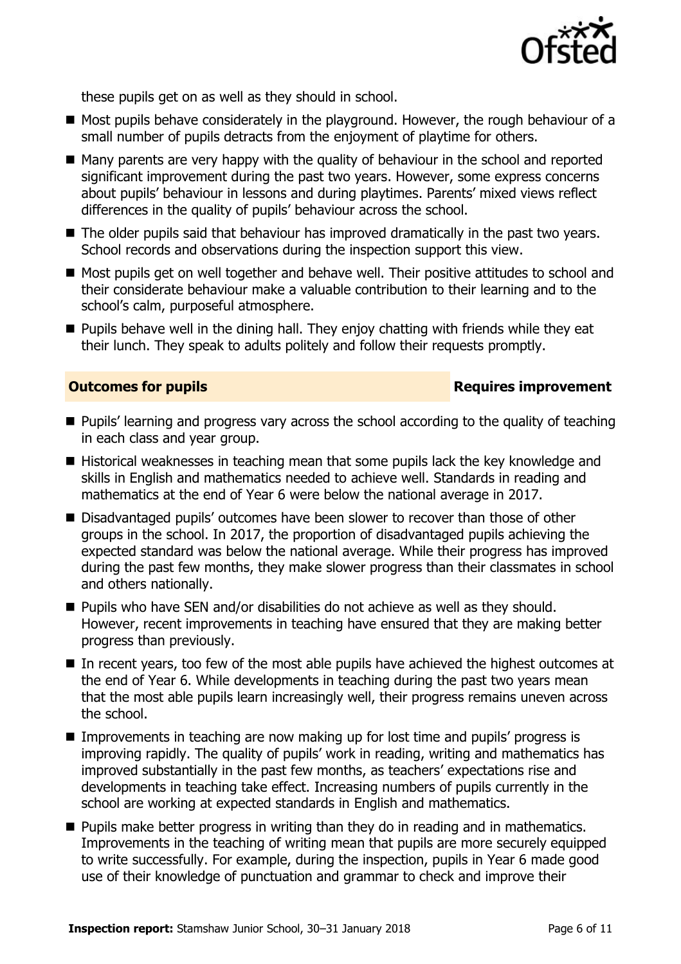

these pupils get on as well as they should in school.

- Most pupils behave considerately in the playground. However, the rough behaviour of a small number of pupils detracts from the enjoyment of playtime for others.
- Many parents are very happy with the quality of behaviour in the school and reported significant improvement during the past two years. However, some express concerns about pupils' behaviour in lessons and during playtimes. Parents' mixed views reflect differences in the quality of pupils' behaviour across the school.
- The older pupils said that behaviour has improved dramatically in the past two vears. School records and observations during the inspection support this view.
- Most pupils get on well together and behave well. Their positive attitudes to school and their considerate behaviour make a valuable contribution to their learning and to the school's calm, purposeful atmosphere.
- $\blacksquare$  Pupils behave well in the dining hall. They enjoy chatting with friends while they eat their lunch. They speak to adults politely and follow their requests promptly.

#### **Outcomes for pupils Requires improvement**

- **Pupils' learning and progress vary across the school according to the quality of teaching** in each class and year group.
- $\blacksquare$  Historical weaknesses in teaching mean that some pupils lack the key knowledge and skills in English and mathematics needed to achieve well. Standards in reading and mathematics at the end of Year 6 were below the national average in 2017.
- Disadvantaged pupils' outcomes have been slower to recover than those of other groups in the school. In 2017, the proportion of disadvantaged pupils achieving the expected standard was below the national average. While their progress has improved during the past few months, they make slower progress than their classmates in school and others nationally.
- Pupils who have SEN and/or disabilities do not achieve as well as they should. However, recent improvements in teaching have ensured that they are making better progress than previously.
- In recent years, too few of the most able pupils have achieved the highest outcomes at the end of Year 6. While developments in teaching during the past two years mean that the most able pupils learn increasingly well, their progress remains uneven across the school.
- **IMPROMERGERS** In teaching are now making up for lost time and pupils' progress is improving rapidly. The quality of pupils' work in reading, writing and mathematics has improved substantially in the past few months, as teachers' expectations rise and developments in teaching take effect. Increasing numbers of pupils currently in the school are working at expected standards in English and mathematics.
- **Pupils make better progress in writing than they do in reading and in mathematics.** Improvements in the teaching of writing mean that pupils are more securely equipped to write successfully. For example, during the inspection, pupils in Year 6 made good use of their knowledge of punctuation and grammar to check and improve their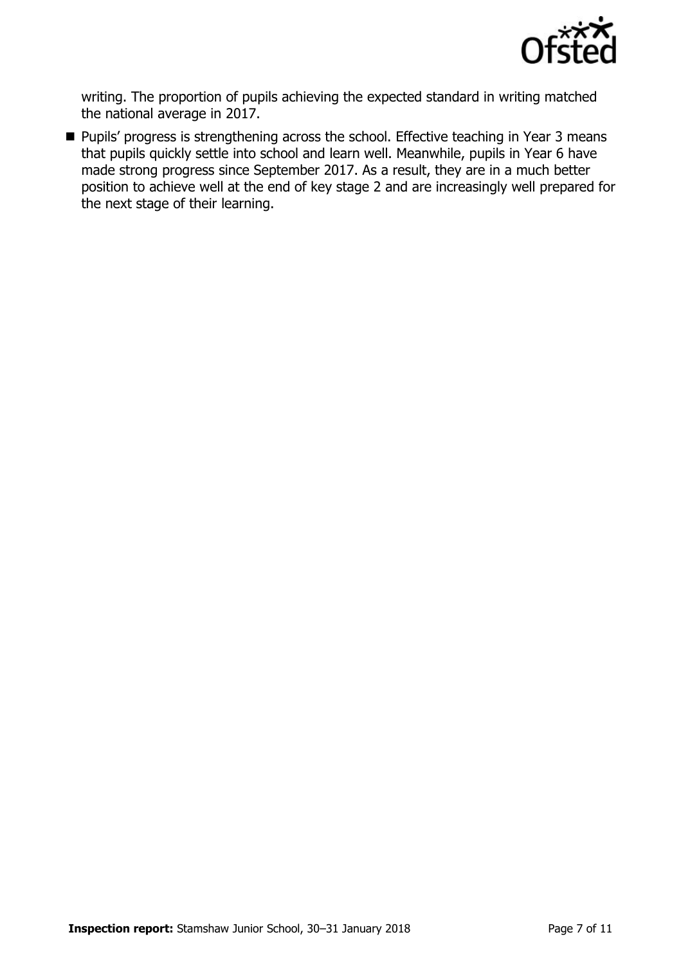

writing. The proportion of pupils achieving the expected standard in writing matched the national average in 2017.

**Pupils' progress is strengthening across the school. Effective teaching in Year 3 means** that pupils quickly settle into school and learn well. Meanwhile, pupils in Year 6 have made strong progress since September 2017. As a result, they are in a much better position to achieve well at the end of key stage 2 and are increasingly well prepared for the next stage of their learning.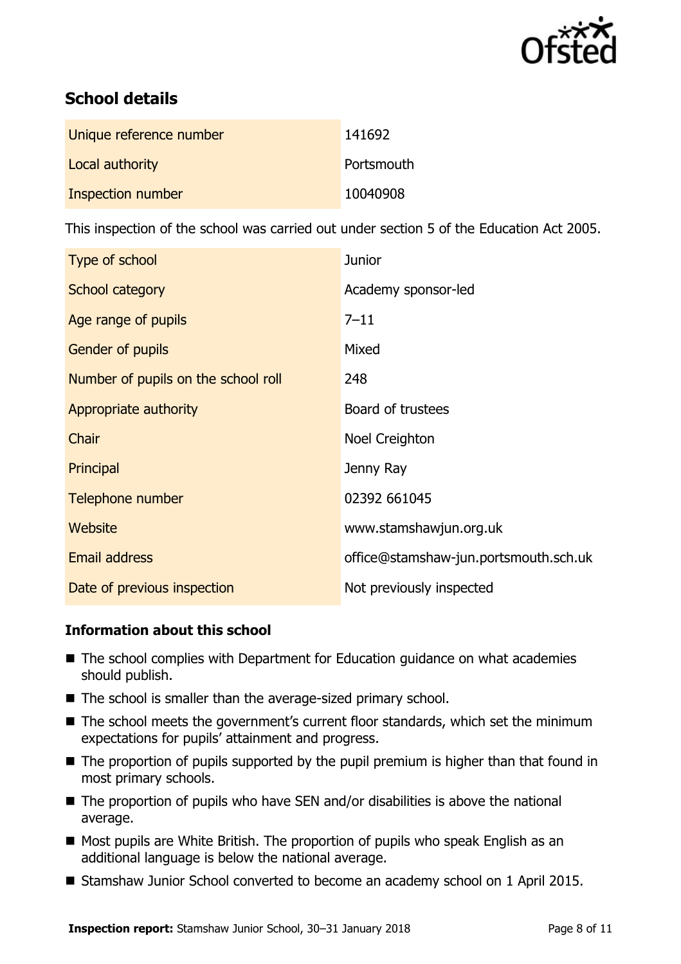

# **School details**

| Unique reference number | 141692     |
|-------------------------|------------|
| Local authority         | Portsmouth |
| Inspection number       | 10040908   |

This inspection of the school was carried out under section 5 of the Education Act 2005.

| Type of school                      | <b>Junior</b>                         |
|-------------------------------------|---------------------------------------|
| School category                     | Academy sponsor-led                   |
| Age range of pupils                 | $7 - 11$                              |
| Gender of pupils                    | Mixed                                 |
| Number of pupils on the school roll | 248                                   |
| Appropriate authority               | Board of trustees                     |
| Chair                               | Noel Creighton                        |
| Principal                           | Jenny Ray                             |
| Telephone number                    | 02392 661045                          |
| Website                             | www.stamshawjun.org.uk                |
| <b>Email address</b>                | office@stamshaw-jun.portsmouth.sch.uk |
| Date of previous inspection         | Not previously inspected              |

### **Information about this school**

- The school complies with Department for Education guidance on what academies should publish.
- The school is smaller than the average-sized primary school.
- The school meets the government's current floor standards, which set the minimum expectations for pupils' attainment and progress.
- The proportion of pupils supported by the pupil premium is higher than that found in most primary schools.
- $\blacksquare$  The proportion of pupils who have SEN and/or disabilities is above the national average.
- Most pupils are White British. The proportion of pupils who speak English as an additional language is below the national average.
- Stamshaw Junior School converted to become an academy school on 1 April 2015.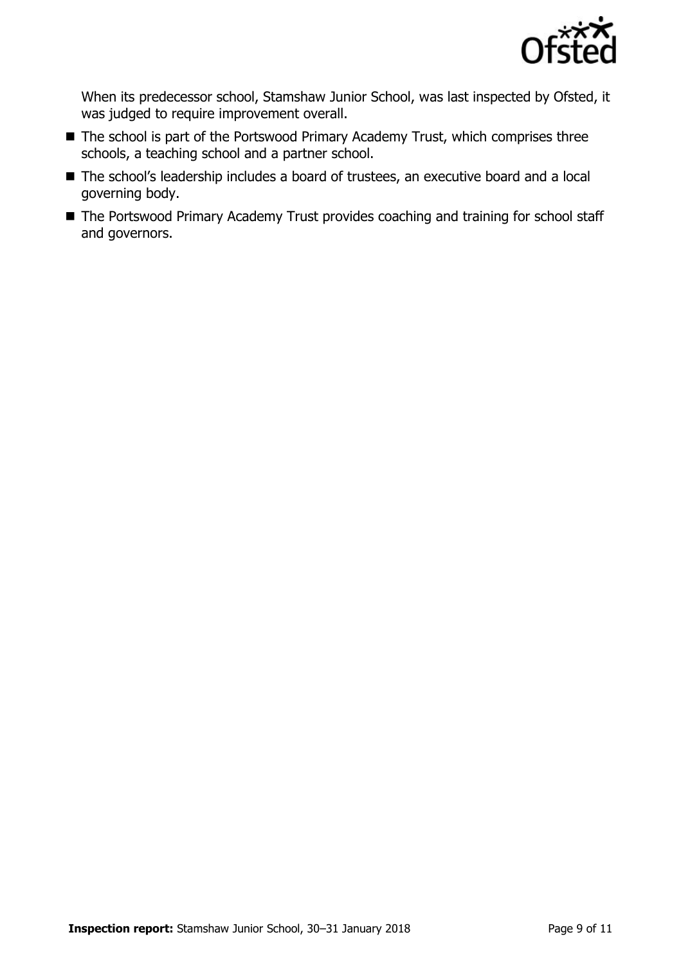

When its predecessor school, Stamshaw Junior School, was last inspected by Ofsted, it was judged to require improvement overall.

- The school is part of the Portswood Primary Academy Trust, which comprises three schools, a teaching school and a partner school.
- The school's leadership includes a board of trustees, an executive board and a local governing body.
- The Portswood Primary Academy Trust provides coaching and training for school staff and governors.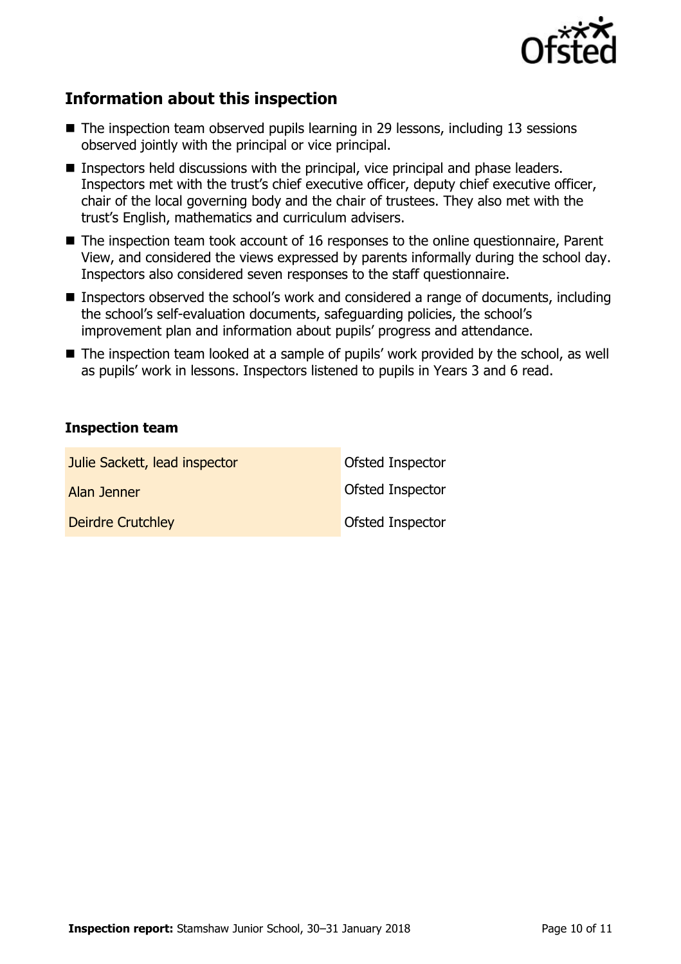

# **Information about this inspection**

- $\blacksquare$  The inspection team observed pupils learning in 29 lessons, including 13 sessions observed jointly with the principal or vice principal.
- **Inspectors held discussions with the principal, vice principal and phase leaders.** Inspectors met with the trust's chief executive officer, deputy chief executive officer, chair of the local governing body and the chair of trustees. They also met with the trust's English, mathematics and curriculum advisers.
- The inspection team took account of 16 responses to the online questionnaire, Parent View, and considered the views expressed by parents informally during the school day. Inspectors also considered seven responses to the staff questionnaire.
- Inspectors observed the school's work and considered a range of documents, including the school's self-evaluation documents, safeguarding policies, the school's improvement plan and information about pupils' progress and attendance.
- The inspection team looked at a sample of pupils' work provided by the school, as well as pupils' work in lessons. Inspectors listened to pupils in Years 3 and 6 read.

#### **Inspection team**

| Julie Sackett, lead inspector | Ofsted Inspector        |
|-------------------------------|-------------------------|
| Alan Jenner                   | Ofsted Inspector        |
| <b>Deirdre Crutchley</b>      | <b>Ofsted Inspector</b> |